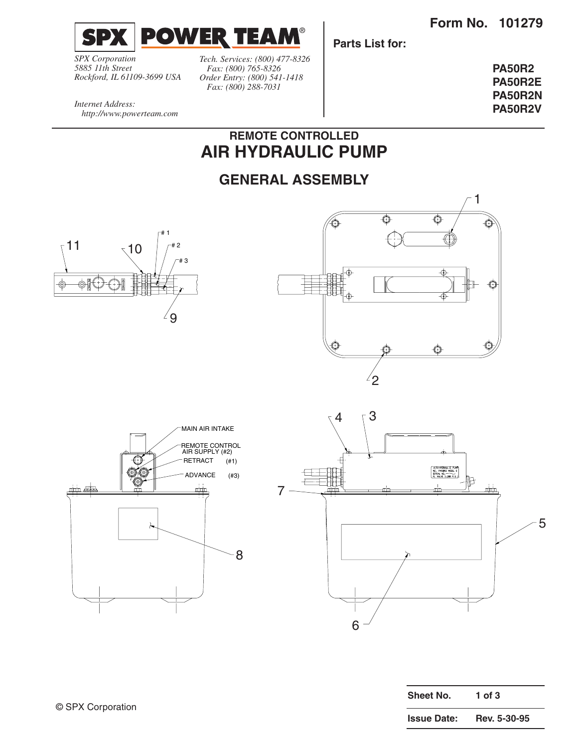**Form No. 101279**



*SPX Corporation 5885 11th Street Rockford, IL 61109-3699 USA* *Tech. Services: (800) 477-8326 Fax: (800) 765-8326 Order Entry: (800) 541-1418 Fax: (800) 288-7031*

**Parts List for:**

**PA50R2 PA50R2E PA50R2N PA50R2V**

*Internet Address: http://www.powerteam.com*

## **REMOTE CONTROLLED AIR HYDRAULIC PUMP**

## **GENERAL ASSEMBLY**









| Sheet No.          | 1 of $3$     |
|--------------------|--------------|
| <b>Issue Date:</b> | Rev. 5-30-95 |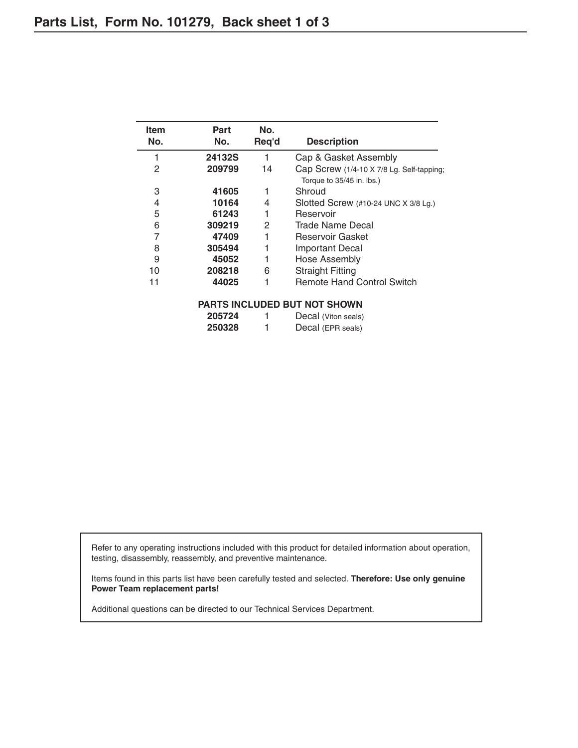| Item<br>No. | Part<br>No. | No.<br>Req'd | <b>Description</b>                                                     |
|-------------|-------------|--------------|------------------------------------------------------------------------|
| 1           | 24132S      | 1            | Cap & Gasket Assembly                                                  |
| 2           | 209799      | 14           | Cap Screw (1/4-10 X 7/8 Lg. Self-tapping;<br>Torque to 35/45 in. lbs.) |
| 3           | 41605       |              | Shroud                                                                 |
| 4           | 10164       | 4            | Slotted Screw (#10-24 UNC X 3/8 Lg.)                                   |
| 5           | 61243       |              | Reservoir                                                              |
| 6           | 309219      | 2            | Trade Name Decal                                                       |
| 7           | 47409       |              | Reservoir Gasket                                                       |
| 8           | 305494      |              | Important Decal                                                        |
| 9           | 45052       |              | Hose Assembly                                                          |
| 10          | 208218      | 6            | <b>Straight Fitting</b>                                                |
| 11          | 44025       |              | <b>Remote Hand Control Switch</b>                                      |
|             |             |              | <b>PARTS INCLUDED BUT NOT SHOWN</b>                                    |
|             | 005701      | $\mathbf{1}$ | $\Gamma$                                                               |

| 205724 | Decal (Viton seals) |
|--------|---------------------|
| 250328 | Decal (EPR seals)   |

Refer to any operating instructions included with this product for detailed information about operation, testing, disassembly, reassembly, and preventive maintenance.

Items found in this parts list have been carefully tested and selected. **Therefore: Use only genuine Power Team replacement parts!**

Additional questions can be directed to our Technical Services Department.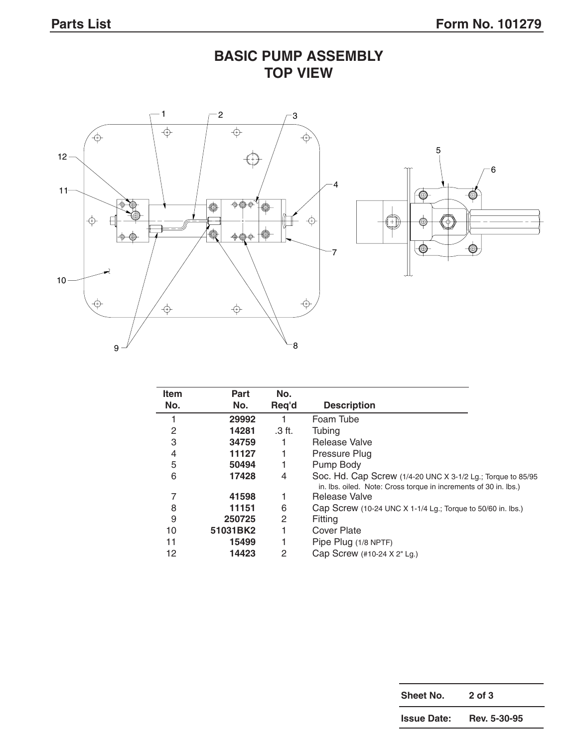**BASIC PUMP ASSEMBLY TOP VIEW**



| <b>Item</b> | Part     | No.    |                                                                                                                                 |
|-------------|----------|--------|---------------------------------------------------------------------------------------------------------------------------------|
| No.         | No.      | Req'd  | <b>Description</b>                                                                                                              |
|             | 29992    |        | Foam Tube                                                                                                                       |
| 2           | 14281    | .3 ft. | Tubing                                                                                                                          |
| 3           | 34759    |        | Release Valve                                                                                                                   |
| 4           | 11127    |        | Pressure Plug                                                                                                                   |
| 5           | 50494    |        | Pump Body                                                                                                                       |
| 6           | 17428    | 4      | Soc. Hd. Cap Screw (1/4-20 UNC X 3-1/2 Lg.; Torque to 85/95<br>in. Ibs. oiled. Note: Cross torque in increments of 30 in. Ibs.) |
| 7           | 41598    |        | Release Valve                                                                                                                   |
| 8           | 11151    | 6      | Cap Screw (10-24 UNC X 1-1/4 Lg.; Torque to 50/60 in. lbs.)                                                                     |
| 9           | 250725   | 2      | Fitting                                                                                                                         |
| 10          | 51031BK2 |        | Cover Plate                                                                                                                     |
| 11          | 15499    |        | Pipe Plug (1/8 NPTF)                                                                                                            |
| 12          | 14423    | 2      | Cap Screw (#10-24 X 2" Lg.)                                                                                                     |

| Sheet No.          | $2$ of $3$   |
|--------------------|--------------|
| <b>Issue Date:</b> | Rev. 5-30-95 |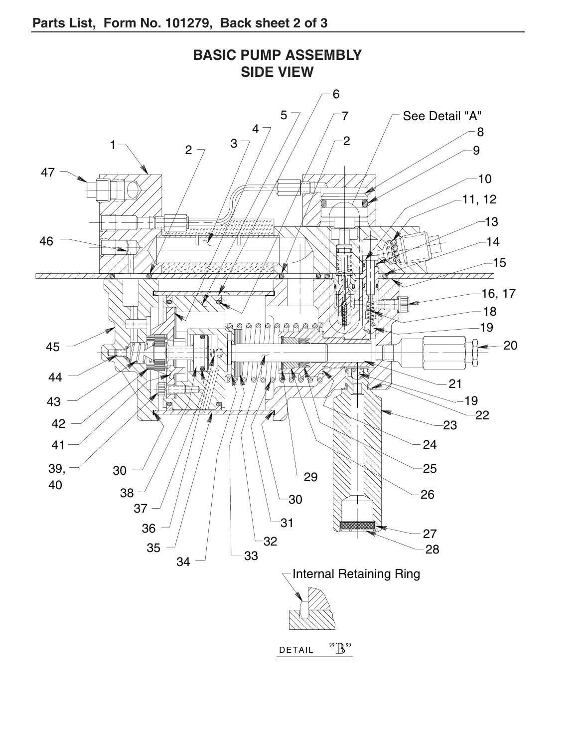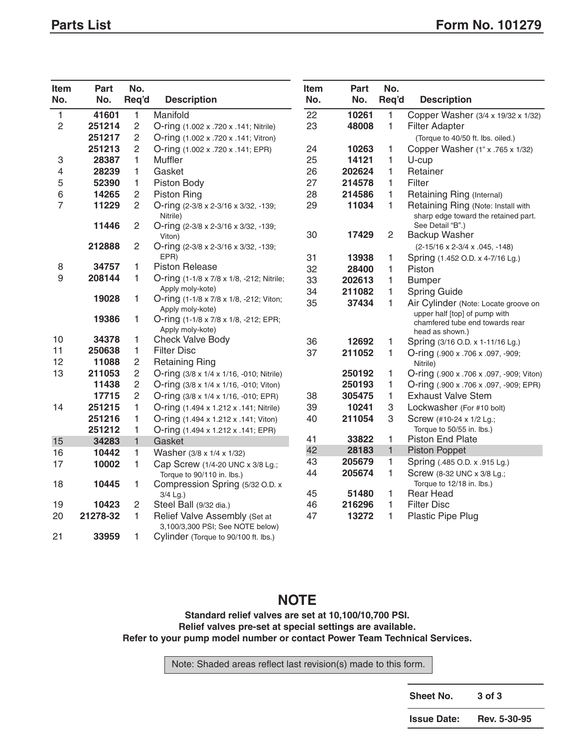| <b>Item</b><br>No. | Part<br>No. | No.            |                                                                   | <b>Item</b><br>No. | Part<br>No. | No.<br>Req'd   | <b>Description</b>                                                         |
|--------------------|-------------|----------------|-------------------------------------------------------------------|--------------------|-------------|----------------|----------------------------------------------------------------------------|
|                    |             | Req'd          | <b>Description</b>                                                |                    |             |                |                                                                            |
| 1                  | 41601       | 1              | Manifold                                                          | 22                 | 10261       | 1              | Copper Washer (3/4 x 19/32 x 1/32)                                         |
| $\overline{c}$     | 251214      | $\overline{c}$ | O-ring (1.002 x .720 x .141; Nitrile)                             | 23                 | 48008       | $\mathbf{1}$   | <b>Filter Adapter</b>                                                      |
|                    | 251217      | $\overline{c}$ | O-ring (1.002 x .720 x .141; Vitron)                              |                    |             |                | (Torque to 40/50 ft. lbs. oiled.)                                          |
|                    | 251213      | $\overline{c}$ | O-ring (1.002 x .720 x .141; EPR)                                 | 24                 | 10263       | 1              | Copper Washer (1" x .765 x 1/32)                                           |
| З                  | 28387       | 1              | Muffler                                                           | 25                 | 14121       | 1              | U-cup                                                                      |
| 4                  | 28239       | 1              | Gasket                                                            | 26                 | 202624      | $\mathbf{1}$   | Retainer                                                                   |
| 5                  | 52390       | 1              | Piston Body                                                       | 27                 | 214578      | $\mathbf{1}$   | Filter                                                                     |
| 6                  | 14265       | $\overline{c}$ | Piston Ring                                                       | 28                 | 214586      | 1              | Retaining Ring (Internal)                                                  |
| 7                  | 11229       | $\mathbf{2}$   | O-ring (2-3/8 x 2-3/16 x 3/32, -139;<br>Nitrile)                  | 29                 | 11034       | 1              | Retaining Ring (Note: Install with<br>sharp edge toward the retained part. |
|                    | 11446       | $\overline{2}$ | O-ring (2-3/8 x 2-3/16 x 3/32, -139;                              |                    | 17429       |                | See Detail "B".)                                                           |
|                    | 212888      | $\overline{2}$ | Viton)                                                            | 30                 |             | $\overline{c}$ | <b>Backup Washer</b>                                                       |
|                    |             |                | O-ring (2-3/8 x 2-3/16 x 3/32, -139;<br>EPR)                      | 31                 | 13938       |                | $(2-15/16 \times 2-3/4 \times .045, -148)$                                 |
| 8                  | 34757       | 1              | <b>Piston Release</b>                                             | 32                 | 28400       | 1<br>1         | Spring (1.452 O.D. x 4-7/16 Lg.)<br>Piston                                 |
| 9                  | 208144      | 1              | O-ring (1-1/8 x 7/8 x 1/8, -212; Nitrile;                         | 33                 | 202613      | 1              | <b>Bumper</b>                                                              |
|                    |             |                | Apply moly-kote)                                                  | 34                 | 211082      | 1              | <b>Spring Guide</b>                                                        |
|                    | 19028       | 1              | O-ring (1-1/8 x 7/8 x 1/8, -212; Viton;                           | 35                 | 37434       | $\mathbf{1}$   | Air Cylinder (Note: Locate groove on                                       |
|                    | 19386       | 1              | Apply moly-kote)<br>O-ring (1-1/8 x 7/8 x 1/8, -212; EPR;         |                    |             |                | upper half [top] of pump with<br>chamfered tube end towards rear           |
| 10                 | 34378       | 1              | Apply moly-kote)<br>Check Valve Body                              |                    |             |                | head as shown.)                                                            |
| 11                 | 250638      | 1              | <b>Filter Disc</b>                                                | 36                 | 12692       | 1              | Spring (3/16 O.D. x 1-11/16 Lg.)                                           |
| 12                 | 11088       | $\overline{c}$ | <b>Retaining Ring</b>                                             | 37                 | 211052      | 1              | O-ring (.900 x .706 x .097, -909;                                          |
| 13                 | 211053      | 2              | O-ring (3/8 x 1/4 x 1/16, -010; Nitrile)                          |                    | 250192      | 1              | Nitrile)<br>O-ring (.900 x .706 x .097, -909; Viton)                       |
|                    | 11438       | $\overline{c}$ | O-ring (3/8 x 1/4 x 1/16, -010; Viton)                            |                    | 250193      | 1              | O-ring (.900 x .706 x .097, -909; EPR)                                     |
|                    | 17715       | $\overline{c}$ | O-ring (3/8 x 1/4 x 1/16, -010; EPR)                              | 38                 | 305475      | $\mathbf{1}$   | <b>Exhaust Valve Stem</b>                                                  |
| 14                 | 251215      | 1              | O-ring (1.494 x 1.212 x .141; Nitrile)                            | 39                 | 10241       | 3              | Lockwasher (For #10 bolt)                                                  |
|                    | 251216      | 1              | O-ring (1.494 x 1.212 x .141; Viton)                              | 40                 | 211054      | 3              | Screw (#10-24 x 1/2 Lg.;                                                   |
|                    | 251212      | 1              | O-ring (1.494 x 1.212 x .141; EPR)                                |                    |             |                | Torque to 50/55 in. lbs.)                                                  |
| 15                 | 34283       | $\mathbf{1}$   | Gasket                                                            | 41                 | 33822       | $\mathbf{1}$   | <b>Piston End Plate</b>                                                    |
| 16                 | 10442       | 1              | Washer (3/8 x 1/4 x 1/32)                                         | 42                 | 28183       | $\mathbf{1}$   | <b>Piston Poppet</b>                                                       |
| 17                 | 10002       | $\mathbf{1}$   | Cap Screw (1/4-20 UNC x 3/8 Lg.;                                  | 43                 | 205679      | 1              | Spring (.485 O.D. x .915 Lg.)                                              |
| 18                 | 10445       | 1              | Torque to 90/110 in. lbs.)<br>Compression Spring (5/32 O.D. x     | 44                 | 205674      | 1              | Screw (8-32 UNC x 3/8 Lg.;<br>Torque to 12/18 in. lbs.)                    |
|                    |             |                | 3/4 Lg.)                                                          | 45                 | 51480       | 1              | <b>Rear Head</b>                                                           |
| 19                 | 10423       | $\overline{2}$ | Steel Ball (9/32 dia.)                                            | 46                 | 216296      | $\mathbf{1}$   | <b>Filter Disc</b>                                                         |
| 20                 | 21278-32    | 1              | Relief Valve Assembly (Set at<br>3,100/3,300 PSI; See NOTE below) | 47                 | 13272       | $\mathbf{1}$   | Plastic Pipe Plug                                                          |
| 21                 | 33959       | 1              | Cylinder (Torque to 90/100 ft. lbs.)                              |                    |             |                |                                                                            |

## **NOTE**

**Standard relief valves are set at 10,100/10,700 PSI. Relief valves pre-set at special settings are available. Refer to your pump model number or contact Power Team Technical Services.**

Note: Shaded areas reflect last revision(s) made to this form.

| Sheet No.          | 3 of 3       |
|--------------------|--------------|
| <b>Issue Date:</b> | Rev. 5-30-95 |